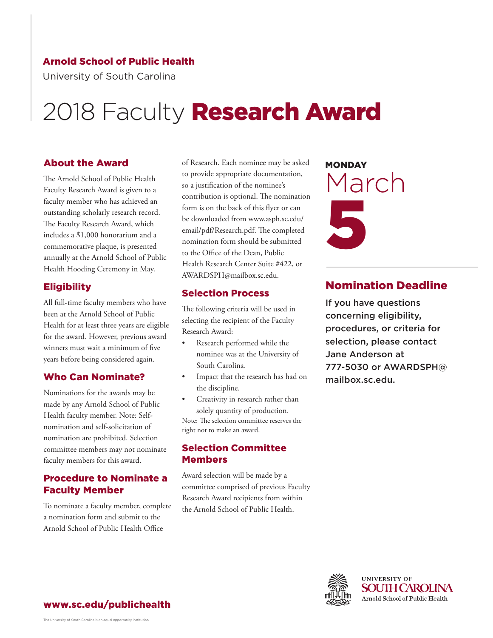#### Arnold School of Public Health

University of South Carolina

# 2018 Faculty Research Award

#### About the Award

The Arnold School of Public Health Faculty Research Award is given to a faculty member who has achieved an outstanding scholarly research record. The Faculty Research Award, which includes a \$1,000 honorarium and a commemorative plaque, is presented annually at the Arnold School of Public Health Hooding Ceremony in May.

#### Eligibility

All full-time faculty members who have been at the Arnold School of Public Health for at least three years are eligible for the award. However, previous award winners must wait a minimum of five years before being considered again.

#### Who Can Nominate?

Nominations for the awards may be made by any Arnold School of Public Health faculty member. Note: Selfnomination and self-solicitation of nomination are prohibited. Selection committee members may not nominate faculty members for this award.

#### Procedure to Nominate a Faculty Member

To nominate a faculty member, complete a nomination form and submit to the Arnold School of Public Health Office

of Research. Each nominee may be asked to provide appropriate documentation, so a justification of the nominee's contribution is optional. The nomination form is on the back of this flyer or can be downloaded from www.asph.sc.edu/ email/pdf/Research.pdf. The completed nomination form should be submitted to the Office of the Dean, Public Health Research Center Suite #422, or AWARDSPH@mailbox.sc.edu.

#### Selection Process

The following criteria will be used in selecting the recipient of the Faculty Research Award:

- Research performed while the nominee was at the University of South Carolina.
- Impact that the research has had on the discipline.
- Creativity in research rather than solely quantity of production. Note: The selection committee reserves the right not to make an award.

#### Selection Committee **Members**

Award selection will be made by a committee comprised of previous Faculty Research Award recipients from within the Arnold School of Public Health.

**MONDAY** March 5

### Nomination Deadline

If you have questions concerning eligibility, procedures, or criteria for selection, please contact Jane Anderson at [777-5030 or AWARDSPH@](mailto: AWARDSPH@mailbox.sc.edu?subject=Call for Nominations 2018 Faculty Research Award) mailbox.sc.edu.



www.sc.edu/publichealth